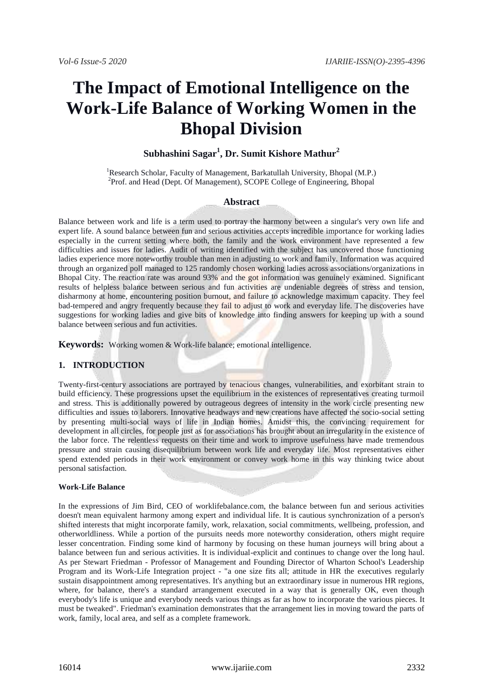# **The Impact of Emotional Intelligence on the Work-Life Balance of Working Women in the Bhopal Division**

## **Subhashini Sagar<sup>1</sup> , Dr. Sumit Kishore Mathur<sup>2</sup>**

<sup>1</sup>Research Scholar, Faculty of Management, Barkatullah University, Bhopal (M.P.) <sup>2</sup>Prof. and Head (Dept. Of Management), SCOPE College of Engineering, Bhopal

#### **Abstract**

Balance between work and life is a term used to portray the harmony between a singular's very own life and expert life. A sound balance between fun and serious activities accepts incredible importance for working ladies especially in the current setting where both, the family and the work environment have represented a few difficulties and issues for ladies. Audit of writing identified with the subject has uncovered those functioning ladies experience more noteworthy trouble than men in adjusting to work and family. Information was acquired through an organized poll managed to 125 randomly chosen working ladies across associations/organizations in Bhopal City. The reaction rate was around 93% and the got information was genuinely examined. Significant results of helpless balance between serious and fun activities are undeniable degrees of stress and tension, disharmony at home, encountering position burnout, and failure to acknowledge maximum capacity. They feel bad-tempered and angry frequently because they fail to adjust to work and everyday life. The discoveries have suggestions for working ladies and give bits of knowledge into finding answers for keeping up with a sound balance between serious and fun activities.

**Keywords:** Working women & Work-life balance; emotional intelligence.

#### **1. INTRODUCTION**

Twenty-first-century associations are portrayed by tenacious changes, vulnerabilities, and exorbitant strain to build efficiency. These progressions upset the equilibrium in the existences of representatives creating turmoil and stress. This is additionally powered by outrageous degrees of intensity in the work circle presenting new difficulties and issues to laborers. Innovative headways and new creations have affected the socio-social setting by presenting multi-social ways of life in Indian homes. Amidst this, the convincing requirement for development in all circles, for people just as for associations has brought about an irregularity in the existence of the labor force. The relentless requests on their time and work to improve usefulness have made tremendous pressure and strain causing disequilibrium between work life and everyday life. Most representatives either spend extended periods in their work environment or convey work home in this way thinking twice about personal satisfaction.

#### **Work-Life Balance**

In the expressions of Jim Bird, CEO of worklifebalance.com, the balance between fun and serious activities doesn't mean equivalent harmony among expert and individual life. It is cautious synchronization of a person's shifted interests that might incorporate family, work, relaxation, social commitments, wellbeing, profession, and otherworldliness. While a portion of the pursuits needs more noteworthy consideration, others might require lesser concentration. Finding some kind of harmony by focusing on these human journeys will bring about a balance between fun and serious activities. It is individual-explicit and continues to change over the long haul. As per Stewart Friedman - Professor of Management and Founding Director of Wharton School's Leadership Program and its Work-Life Integration project - "a one size fits all; attitude in HR the executives regularly sustain disappointment among representatives. It's anything but an extraordinary issue in numerous HR regions, where, for balance, there's a standard arrangement executed in a way that is generally OK, even though everybody's life is unique and everybody needs various things as far as how to incorporate the various pieces. It must be tweaked". Friedman's examination demonstrates that the arrangement lies in moving toward the parts of work, family, local area, and self as a complete framework.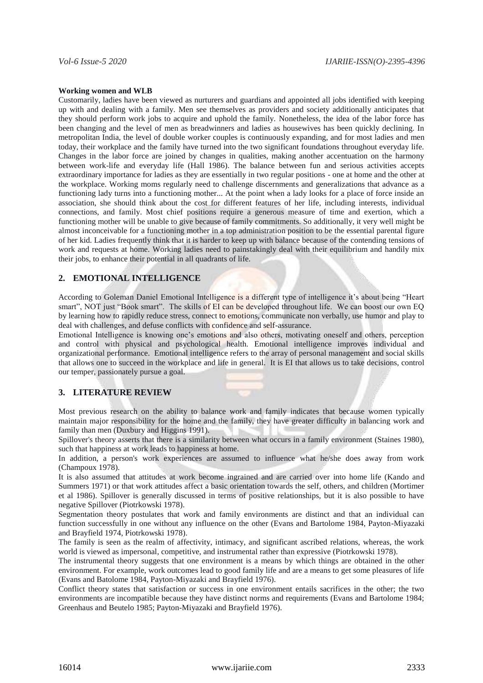#### **Working women and WLB**

Customarily, ladies have been viewed as nurturers and guardians and appointed all jobs identified with keeping up with and dealing with a family. Men see themselves as providers and society additionally anticipates that they should perform work jobs to acquire and uphold the family. Nonetheless, the idea of the labor force has been changing and the level of men as breadwinners and ladies as housewives has been quickly declining. In metropolitan India, the level of double worker couples is continuously expanding, and for most ladies and men today, their workplace and the family have turned into the two significant foundations throughout everyday life. Changes in the labor force are joined by changes in qualities, making another accentuation on the harmony between work-life and everyday life (Hall 1986). The balance between fun and serious activities accepts extraordinary importance for ladies as they are essentially in two regular positions - one at home and the other at the workplace. Working moms regularly need to challenge discernments and generalizations that advance as a functioning lady turns into a functioning mother... At the point when a lady looks for a place of force inside an association, she should think about the cost for different features of her life, including interests, individual connections, and family. Most chief positions require a generous measure of time and exertion, which a functioning mother will be unable to give because of family commitments. So additionally, it very well might be almost inconceivable for a functioning mother in a top administration position to be the essential parental figure of her kid. Ladies frequently think that it is harder to keep up with balance because of the contending tensions of work and requests at home. Working ladies need to painstakingly deal with their equilibrium and handily mix their jobs, to enhance their potential in all quadrants of life.

### **2. EMOTIONAL INTELLIGENCE**

According to Goleman Daniel Emotional Intelligence is a different type of intelligence it's about being "Heart smart", NOT just "Book smart". The skills of EI can be developed throughout life. We can boost our own EQ by learning how to rapidly reduce stress, connect to emotions, communicate non verbally, use humor and play to deal with challenges, and defuse conflicts with confidence and self-assurance.

Emotional Intelligence is knowing one's emotions and also others, motivating oneself and others, perception and control with physical and psychological health. Emotional intelligence improves individual and organizational performance. Emotional intelligence refers to the array of personal management and social skills that allows one to succeed in the workplace and life in general. It is EI that allows us to take decisions, control our temper, passionately pursue a goal.

#### **3. LITERATURE REVIEW**

Most previous research on the ability to balance work and family indicates that because women typically maintain major responsibility for the home and the family, they have greater difficulty in balancing work and family than men (Duxbury and Higgins 1991).

Spillover's theory asserts that there is a similarity between what occurs in a family environment (Staines 1980), such that happiness at work leads to happiness at home.

In addition, a person's work experiences are assumed to influence what he/she does away from work (Champoux 1978).

It is also assumed that attitudes at work become ingrained and are carried over into home life (Kando and Summers 1971) or that work attitudes affect a basic orientation towards the self, others, and children (Mortimer et al 1986). Spillover is generally discussed in terms of positive relationships, but it is also possible to have negative Spillover (Piotrkowski 1978).

Segmentation theory postulates that work and family environments are distinct and that an individual can function successfully in one without any influence on the other (Evans and Bartolome 1984, Payton-Miyazaki and Brayfield 1974, Piotrkowski 1978).

The family is seen as the realm of affectivity, intimacy, and significant ascribed relations, whereas, the work world is viewed as impersonal, competitive, and instrumental rather than expressive (Piotrkowski 1978).

The instrumental theory suggests that one environment is a means by which things are obtained in the other environment. For example, work outcomes lead to good family life and are a means to get some pleasures of life (Evans and Batolome 1984, Payton-Miyazaki and Brayfield 1976).

Conflict theory states that satisfaction or success in one environment entails sacrifices in the other; the two environments are incompatible because they have distinct norms and requirements (Evans and Bartolome 1984; Greenhaus and Beutelo 1985; Payton-Miyazaki and Brayfield 1976).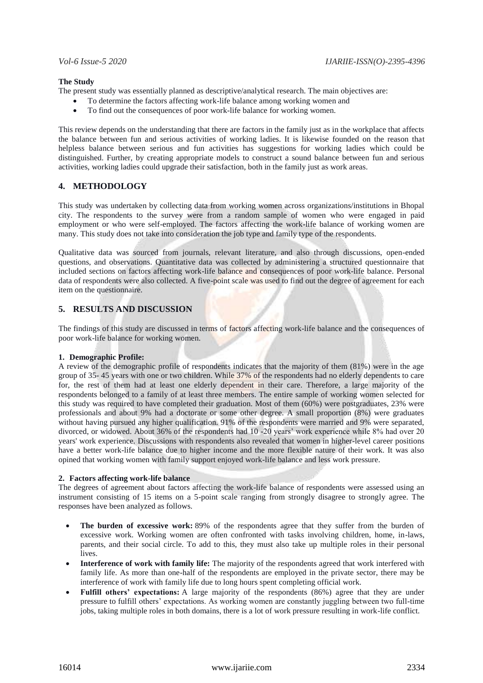#### **The Study**

The present study was essentially planned as descriptive/analytical research. The main objectives are:

- To determine the factors affecting work-life balance among working women and
- To find out the consequences of poor work-life balance for working women.

This review depends on the understanding that there are factors in the family just as in the workplace that affects the balance between fun and serious activities of working ladies. It is likewise founded on the reason that helpless balance between serious and fun activities has suggestions for working ladies which could be distinguished. Further, by creating appropriate models to construct a sound balance between fun and serious activities, working ladies could upgrade their satisfaction, both in the family just as work areas.

#### **4. METHODOLOGY**

This study was undertaken by collecting data from working women across organizations/institutions in Bhopal city. The respondents to the survey were from a random sample of women who were engaged in paid employment or who were self-employed. The factors affecting the work-life balance of working women are many. This study does not take into consideration the job type and family type of the respondents.

Qualitative data was sourced from journals, relevant literature, and also through discussions, open-ended questions, and observations. Quantitative data was collected by administering a structured questionnaire that included sections on factors affecting work-life balance and consequences of poor work-life balance. Personal data of respondents were also collected. A five-point scale was used to find out the degree of agreement for each item on the questionnaire.

#### **5. RESULTS AND DISCUSSION**

The findings of this study are discussed in terms of factors affecting work-life balance and the consequences of poor work-life balance for working women.

#### **1. Demographic Profile:**

A review of the demographic profile of respondents indicates that the majority of them (81%) were in the age group of 35- 45 years with one or two children. While 37% of the respondents had no elderly dependents to care for, the rest of them had at least one elderly dependent in their care. Therefore, a large majority of the respondents belonged to a family of at least three members. The entire sample of working women selected for this study was required to have completed their graduation. Most of them (60%) were postgraduates, 23% were professionals and about 9% had a doctorate or some other degree. A small proportion (8%) were graduates without having pursued any higher qualification. 91% of the respondents were married and 9% were separated, divorced, or widowed. About 36% of the respondents had 10 -20 years' work experience while 8% had over 20 years' work experience. Discussions with respondents also revealed that women in higher-level career positions have a better work-life balance due to higher income and the more flexible nature of their work. It was also opined that working women with family support enjoyed work-life balance and less work pressure.

#### **2. Factors affecting work-life balance**

The degrees of agreement about factors affecting the work-life balance of respondents were assessed using an instrument consisting of 15 items on a 5-point scale ranging from strongly disagree to strongly agree. The responses have been analyzed as follows.

- **The burden of excessive work:** 89% of the respondents agree that they suffer from the burden of excessive work. Working women are often confronted with tasks involving children, home, in-laws, parents, and their social circle. To add to this, they must also take up multiple roles in their personal lives.
- **Interference of work with family life:** The majority of the respondents agreed that work interfered with family life. As more than one-half of the respondents are employed in the private sector, there may be interference of work with family life due to long hours spent completing official work.
- **Fulfill others' expectations:** A large majority of the respondents (86%) agree that they are under pressure to fulfill others' expectations. As working women are constantly juggling between two full-time jobs, taking multiple roles in both domains, there is a lot of work pressure resulting in work-life conflict.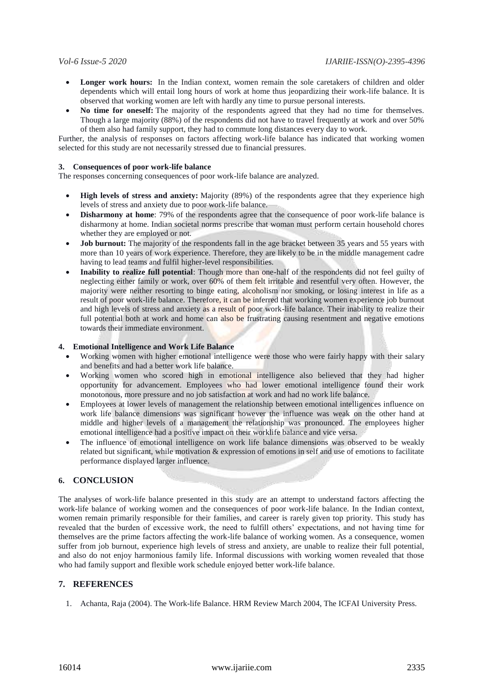- Longer work hours: In the Indian context, women remain the sole caretakers of children and older dependents which will entail long hours of work at home thus jeopardizing their work-life balance. It is observed that working women are left with hardly any time to pursue personal interests.
- **No time for oneself:** The majority of the respondents agreed that they had no time for themselves. Though a large majority (88%) of the respondents did not have to travel frequently at work and over 50% of them also had family support, they had to commute long distances every day to work.

Further, the analysis of responses on factors affecting work-life balance has indicated that working women selected for this study are not necessarily stressed due to financial pressures.

#### **3. Consequences of poor work-life balance**

The responses concerning consequences of poor work-life balance are analyzed.

- **High levels of stress and anxiety:** Majority (89%) of the respondents agree that they experience high levels of stress and anxiety due to poor work-life balance.
- **Disharmony at home**: 79% of the respondents agree that the consequence of poor work-life balance is disharmony at home. Indian societal norms prescribe that woman must perform certain household chores whether they are employed or not.
- **Job burnout:** The majority of the respondents fall in the age bracket between 35 years and 55 years with more than 10 years of work experience. Therefore, they are likely to be in the middle management cadre having to lead teams and fulfil higher-level responsibilities.
- **Inability to realize full potential**: Though more than one-half of the respondents did not feel guilty of neglecting either family or work, over 60% of them felt irritable and resentful very often. However, the majority were neither resorting to binge eating, alcoholism nor smoking, or losing interest in life as a result of poor work-life balance. Therefore, it can be inferred that working women experience job burnout and high levels of stress and anxiety as a result of poor work-life balance. Their inability to realize their full potential both at work and home can also be frustrating causing resentment and negative emotions towards their immediate environment.

#### **4. Emotional Intelligence and Work Life Balance**

- Working women with higher emotional intelligence were those who were fairly happy with their salary and benefits and had a better work life balance.
- Working women who scored high in emotional intelligence also believed that they had higher opportunity for advancement. Employees who had lower emotional intelligence found their work monotonous, more pressure and no job satisfaction at work and had no work life balance.
- Employees at lower levels of management the relationship between emotional intelligences influence on work life balance dimensions was significant however the influence was weak on the other hand at middle and higher levels of a management the relationship was pronounced. The employees higher emotional intelligence had a positive impact on their worklife balance and vice versa.
- The influence of emotional intelligence on work life balance dimensions was observed to be weakly related but significant, while motivation & expression of emotions in self and use of emotions to facilitate performance displayed larger influence.

#### **6. CONCLUSION**

The analyses of work-life balance presented in this study are an attempt to understand factors affecting the work-life balance of working women and the consequences of poor work-life balance. In the Indian context, women remain primarily responsible for their families, and career is rarely given top priority. This study has revealed that the burden of excessive work, the need to fulfill others' expectations, and not having time for themselves are the prime factors affecting the work-life balance of working women. As a consequence, women suffer from job burnout, experience high levels of stress and anxiety, are unable to realize their full potential, and also do not enjoy harmonious family life. Informal discussions with working women revealed that those who had family support and flexible work schedule enjoyed better work-life balance.

#### **7. REFERENCES**

1. Achanta, Raja (2004). The Work-life Balance. HRM Review March 2004, The ICFAI University Press.